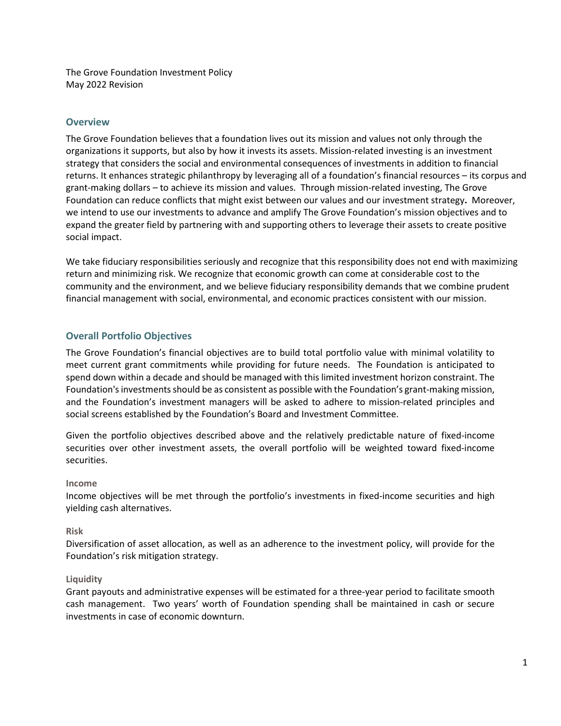The Grove Foundation Investment Policy May 2022 Revision

## **Overview**

The Grove Foundation believes that a foundation lives out its mission and values not only through the organizations it supports, but also by how it invests its assets. Mission-related investing is an investment strategy that considers the social and environmental consequences of investments in addition to financial returns. It enhances strategic philanthropy by leveraging all of a foundation's financial resources – its corpus and grant-making dollars – to achieve its mission and values. Through mission-related investing, The Grove Foundation can reduce conflicts that might exist between our values and our investment strategy**.** Moreover, we intend to use our investments to advance and amplify The Grove Foundation's mission objectives and to expand the greater field by partnering with and supporting others to leverage their assets to create positive social impact.

We take fiduciary responsibilities seriously and recognize that this responsibility does not end with maximizing return and minimizing risk. We recognize that economic growth can come at considerable cost to the community and the environment, and we believe fiduciary responsibility demands that we combine prudent financial management with social, environmental, and economic practices consistent with our mission.

# **Overall Portfolio Objectives**

The Grove Foundation's financial objectives are to build total portfolio value with minimal volatility to meet current grant commitments while providing for future needs. The Foundation is anticipated to spend down within a decade and should be managed with this limited investment horizon constraint. The Foundation'sinvestments should be as consistent as possible with the Foundation's grant-making mission, and the Foundation's investment managers will be asked to adhere to mission-related principles and social screens established by the Foundation's Board and Investment Committee.

Given the portfolio objectives described above and the relatively predictable nature of fixed-income securities over other investment assets, the overall portfolio will be weighted toward fixed-income securities.

### **Income**

Income objectives will be met through the portfolio's investments in fixed-income securities and high yielding cash alternatives.

### **Risk**

Diversification of asset allocation, as well as an adherence to the investment policy, will provide for the Foundation's risk mitigation strategy.

#### **Liquidity**

Grant payouts and administrative expenses will be estimated for a three-year period to facilitate smooth cash management. Two years' worth of Foundation spending shall be maintained in cash or secure investments in case of economic downturn.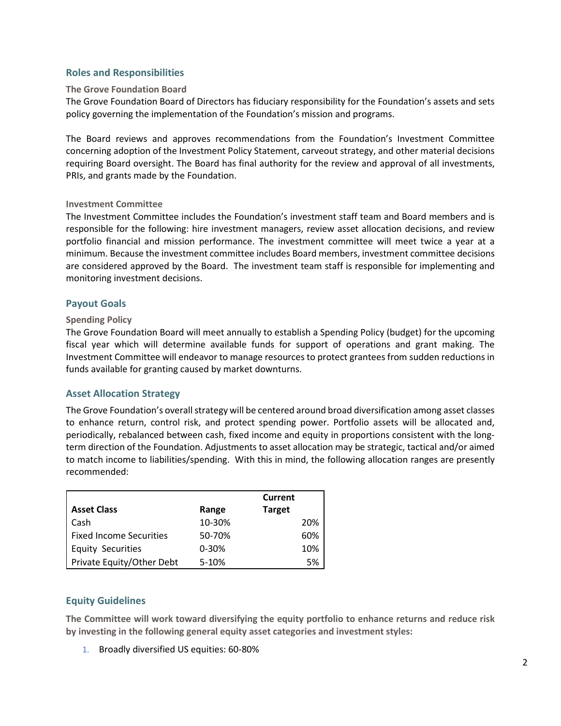### **Roles and Responsibilities**

#### **The Grove Foundation Board**

The Grove Foundation Board of Directors has fiduciary responsibility for the Foundation's assets and sets policy governing the implementation of the Foundation's mission and programs.

The Board reviews and approves recommendations from the Foundation's Investment Committee concerning adoption of the Investment Policy Statement, carveout strategy, and other material decisions requiring Board oversight. The Board has final authority for the review and approval of all investments, PRIs, and grants made by the Foundation.

#### **Investment Committee**

The Investment Committee includes the Foundation's investment staff team and Board members and is responsible for the following: hire investment managers, review asset allocation decisions, and review portfolio financial and mission performance. The investment committee will meet twice a year at a minimum. Because the investment committee includes Board members, investment committee decisions are considered approved by the Board. The investment team staff is responsible for implementing and monitoring investment decisions.

#### **Payout Goals**

#### **Spending Policy**

The Grove Foundation Board will meet annually to establish a Spending Policy (budget) for the upcoming fiscal year which will determine available funds for support of operations and grant making. The Investment Committee will endeavor to manage resources to protect grantees from sudden reductions in funds available for granting caused by market downturns.

### **Asset Allocation Strategy**

The Grove Foundation's overall strategy will be centered around broad diversification among asset classes to enhance return, control risk, and protect spending power. Portfolio assets will be allocated and, periodically, rebalanced between cash, fixed income and equity in proportions consistent with the longterm direction of the Foundation. Adjustments to asset allocation may be strategic, tactical and/or aimed to match income to liabilities/spending. With this in mind, the following allocation ranges are presently recommended:

|                                |           | Current       |
|--------------------------------|-----------|---------------|
| <b>Asset Class</b>             | Range     | <b>Target</b> |
| Cash                           | 10-30%    | 20%           |
| <b>Fixed Income Securities</b> | 50-70%    | 60%           |
| <b>Equity Securities</b>       | $0 - 30%$ | 10%           |
| Private Equity/Other Debt      | 5-10%     | 5%            |

### **Equity Guidelines**

**The Committee will work toward diversifying the equity portfolio to enhance returns and reduce risk by investing in the following general equity asset categories and investment styles:**

1. Broadly diversified US equities: 60-80%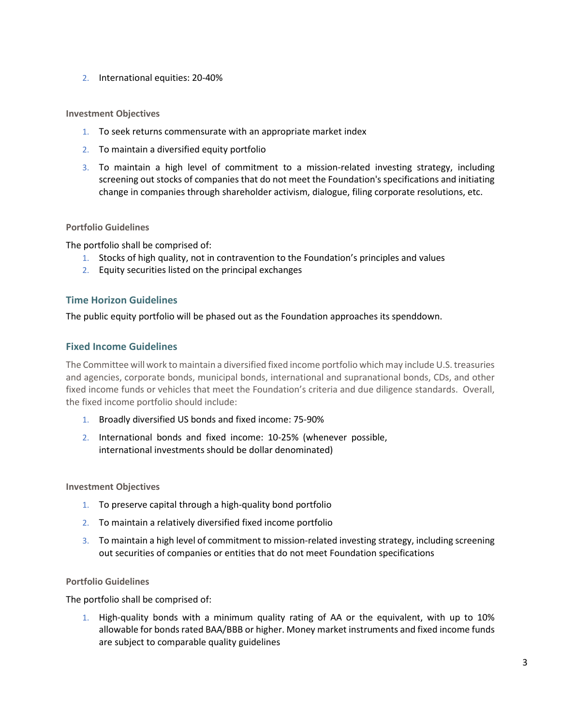2. International equities: 20-40%

### **Investment Objectives**

- 1. To seek returns commensurate with an appropriate market index
- 2. To maintain a diversified equity portfolio
- 3. To maintain a high level of commitment to a mission-related investing strategy, including screening out stocks of companies that do not meet the Foundation's specifications and initiating change in companies through shareholder activism, dialogue, filing corporate resolutions, etc.

### **Portfolio Guidelines**

The portfolio shall be comprised of:

- 1. Stocks of high quality, not in contravention to the Foundation's principles and values
- 2. Equity securities listed on the principal exchanges

## **Time Horizon Guidelines**

The public equity portfolio will be phased out as the Foundation approaches its spenddown.

### **Fixed Income Guidelines**

The Committee will work to maintain a diversified fixed income portfolio which may include U.S. treasuries and agencies, corporate bonds, municipal bonds, international and supranational bonds, CDs, and other fixed income funds or vehicles that meet the Foundation's criteria and due diligence standards. Overall, the fixed income portfolio should include:

- 1. Broadly diversified US bonds and fixed income: 75-90%
- 2. International bonds and fixed income: 10-25% (whenever possible, international investments should be dollar denominated)

### **Investment Objectives**

- 1. To preserve capital through a high-quality bond portfolio
- 2. To maintain a relatively diversified fixed income portfolio
- 3. To maintain a high level of commitment to mission-related investing strategy, including screening out securities of companies or entities that do not meet Foundation specifications

## **Portfolio Guidelines**

The portfolio shall be comprised of:

1. High-quality bonds with a minimum quality rating of AA or the equivalent, with up to 10% allowable for bonds rated BAA/BBB or higher. Money market instruments and fixed income funds are subject to comparable quality guidelines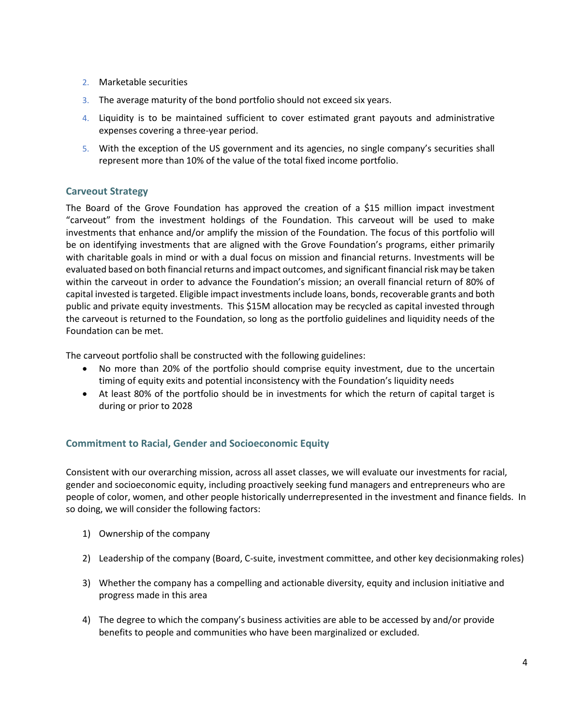- 2. Marketable securities
- 3. The average maturity of the bond portfolio should not exceed six years.
- 4. Liquidity is to be maintained sufficient to cover estimated grant payouts and administrative expenses covering a three-year period.
- 5. With the exception of the US government and its agencies, no single company's securities shall represent more than 10% of the value of the total fixed income portfolio.

# **Carveout Strategy**

The Board of the Grove Foundation has approved the creation of a \$15 million impact investment "carveout" from the investment holdings of the Foundation. This carveout will be used to make investments that enhance and/or amplify the mission of the Foundation. The focus of this portfolio will be on identifying investments that are aligned with the Grove Foundation's programs, either primarily with charitable goals in mind or with a dual focus on mission and financial returns. Investments will be evaluated based on both financial returns and impact outcomes, and significant financial risk may be taken within the carveout in order to advance the Foundation's mission; an overall financial return of 80% of capital invested is targeted. Eligible impact investments include loans, bonds, recoverable grants and both public and private equity investments. This \$15M allocation may be recycled as capital invested through the carveout is returned to the Foundation, so long as the portfolio guidelines and liquidity needs of the Foundation can be met.

The carveout portfolio shall be constructed with the following guidelines:

- No more than 20% of the portfolio should comprise equity investment, due to the uncertain timing of equity exits and potential inconsistency with the Foundation's liquidity needs
- At least 80% of the portfolio should be in investments for which the return of capital target is during or prior to 2028

# **Commitment to Racial, Gender and Socioeconomic Equity**

Consistent with our overarching mission, across all asset classes, we will evaluate our investments for racial, gender and socioeconomic equity, including proactively seeking fund managers and entrepreneurs who are people of color, women, and other people historically underrepresented in the investment and finance fields. In so doing, we will consider the following factors:

- 1) Ownership of the company
- 2) Leadership of the company (Board, C-suite, investment committee, and other key decisionmaking roles)
- 3) Whether the company has a compelling and actionable diversity, equity and inclusion initiative and progress made in this area
- 4) The degree to which the company's business activities are able to be accessed by and/or provide benefits to people and communities who have been marginalized or excluded.